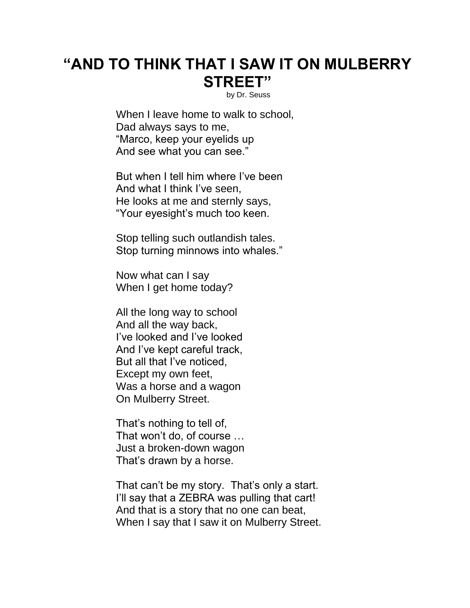## **"AND TO THINK THAT I SAW IT ON MULBERRY STREET"**

by Dr. Seuss

When I leave home to walk to school, Dad always says to me, "Marco, keep your eyelids up And see what you can see."

But when I tell him where I've been And what I think I've seen, He looks at me and sternly says, "Your eyesight's much too keen.

Stop telling such outlandish tales. Stop turning minnows into whales."

Now what can I say When I get home today?

All the long way to school And all the way back, I've looked and I've looked And I've kept careful track, But all that I've noticed, Except my own feet, Was a horse and a wagon On Mulberry Street.

That's nothing to tell of, That won't do, of course … Just a broken-down wagon That's drawn by a horse.

That can't be my story. That's only a start. I'll say that a ZEBRA was pulling that cart! And that is a story that no one can beat, When I say that I saw it on Mulberry Street.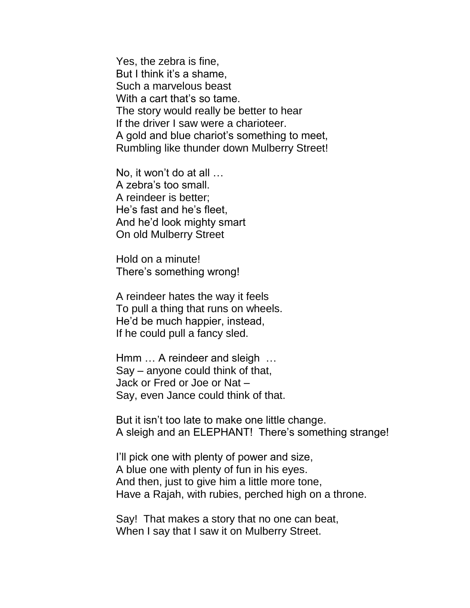Yes, the zebra is fine, But I think it's a shame, Such a marvelous beast With a cart that's so tame. The story would really be better to hear If the driver I saw were a charioteer. A gold and blue chariot's something to meet, Rumbling like thunder down Mulberry Street!

No, it won't do at all … A zebra's too small. A reindeer is better; He's fast and he's fleet, And he'd look mighty smart On old Mulberry Street

Hold on a minute! There's something wrong!

A reindeer hates the way it feels To pull a thing that runs on wheels. He'd be much happier, instead, If he could pull a fancy sled.

Hmm … A reindeer and sleigh … Say – anyone could think of that, Jack or Fred or Joe or Nat – Say, even Jance could think of that.

But it isn't too late to make one little change. A sleigh and an ELEPHANT! There's something strange!

I'll pick one with plenty of power and size, A blue one with plenty of fun in his eyes. And then, just to give him a little more tone, Have a Rajah, with rubies, perched high on a throne.

Say! That makes a story that no one can beat, When I say that I saw it on Mulberry Street.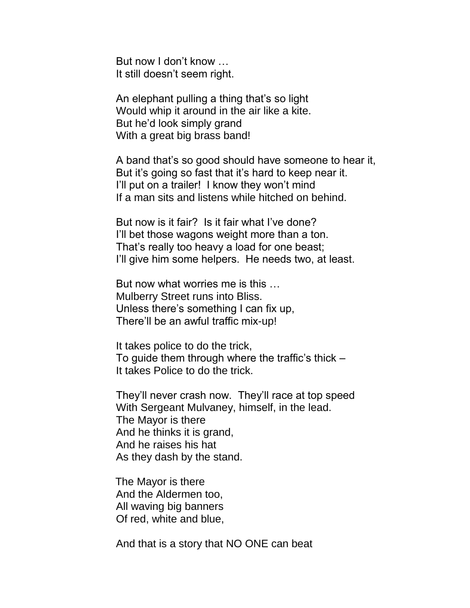But now I don't know … It still doesn't seem right.

An elephant pulling a thing that's so light Would whip it around in the air like a kite. But he'd look simply grand With a great big brass band!

A band that's so good should have someone to hear it, But it's going so fast that it's hard to keep near it. I'll put on a trailer! I know they won't mind If a man sits and listens while hitched on behind.

But now is it fair? Is it fair what I've done? I'll bet those wagons weight more than a ton. That's really too heavy a load for one beast; I'll give him some helpers. He needs two, at least.

But now what worries me is this … Mulberry Street runs into Bliss. Unless there's something I can fix up, There'll be an awful traffic mix-up!

It takes police to do the trick, To guide them through where the traffic's thick – It takes Police to do the trick.

They'll never crash now. They'll race at top speed With Sergeant Mulvaney, himself, in the lead. The Mayor is there And he thinks it is grand, And he raises his hat As they dash by the stand.

 The Mayor is there And the Aldermen too, All waving big banners Of red, white and blue,

And that is a story that NO ONE can beat